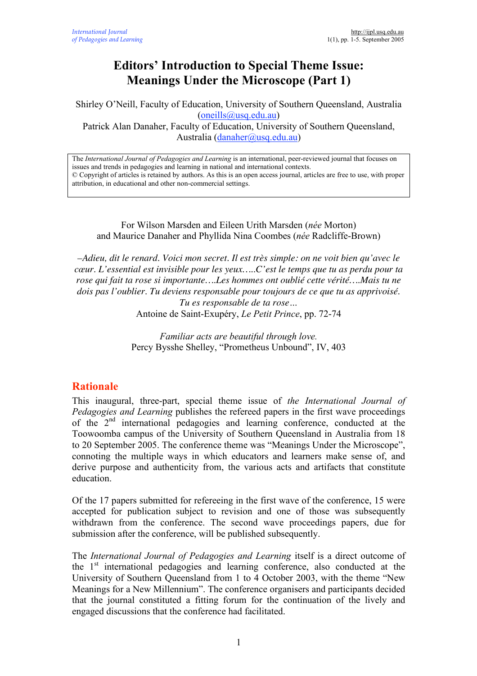## **Editors' Introduction to Special Theme Issue: Meanings Under the Microscope (Part 1)**

Shirley O'Neill, Faculty of Education, University of Southern Queensland, Australia (oneills@usq.edu.au)

Patrick Alan Danaher, Faculty of Education, University of Southern Queensland, Australia (danaher@usq.edu.au)

The *International Journal of Pedagogies and Learning* is an international, peer-reviewed journal that focuses on issues and trends in pedagogies and learning in national and international contexts. © Copyright of articles is retained by authors. As this is an open access journal, articles are free to use, with proper attribution, in educational and other non-commercial settings.

For Wilson Marsden and Eileen Urith Marsden (*née* Morton) and Maurice Danaher and Phyllida Nina Coombes (*née* Radcliffe-Brown)

*–Adieu, dit le renard. Voici mon secret. Il est très simple: on ne voit bien qu'avec le cœur. L'essential est invisible pour les yeux…..C'est le temps que tu as perdu pour ta rose qui fait ta rose si importante….Les hommes ont oublié cette vérité….Mais tu ne dois pas l'oublier. Tu deviens responsable pour toujours de ce que tu as apprivoisé. Tu es responsable de ta rose…* Antoine de Saint-Exupéry, *Le Petit Prince*, pp. 72-74

> *Familiar acts are beautiful through love.* Percy Bysshe Shelley, "Prometheus Unbound", IV, 403

## **Rationale**

This inaugural, three-part, special theme issue of *the International Journal of Pedagogies and Learning* publishes the refereed papers in the first wave proceedings of the 2nd international pedagogies and learning conference, conducted at the Toowoomba campus of the University of Southern Queensland in Australia from 18 to 20 September 2005. The conference theme was "Meanings Under the Microscope", connoting the multiple ways in which educators and learners make sense of, and derive purpose and authenticity from, the various acts and artifacts that constitute education.

Of the 17 papers submitted for refereeing in the first wave of the conference, 15 were accepted for publication subject to revision and one of those was subsequently withdrawn from the conference. The second wave proceedings papers, due for submission after the conference, will be published subsequently.

The *International Journal of Pedagogies and Learning* itself is a direct outcome of the  $1<sup>st</sup>$  international pedagogies and learning conference, also conducted at the University of Southern Queensland from 1 to 4 October 2003, with the theme "New Meanings for a New Millennium". The conference organisers and participants decided that the journal constituted a fitting forum for the continuation of the lively and engaged discussions that the conference had facilitated.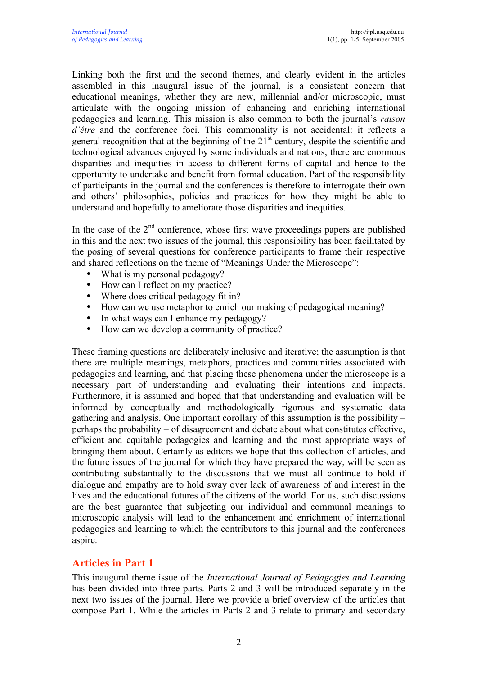Linking both the first and the second themes, and clearly evident in the articles assembled in this inaugural issue of the journal, is a consistent concern that educational meanings, whether they are new, millennial and/or microscopic, must articulate with the ongoing mission of enhancing and enriching international pedagogies and learning. This mission is also common to both the journal's *raison d'être* and the conference foci. This commonality is not accidental: it reflects a general recognition that at the beginning of the  $21<sup>st</sup>$  century, despite the scientific and technological advances enjoyed by some individuals and nations, there are enormous disparities and inequities in access to different forms of capital and hence to the opportunity to undertake and benefit from formal education. Part of the responsibility of participants in the journal and the conferences is therefore to interrogate their own and others' philosophies, policies and practices for how they might be able to understand and hopefully to ameliorate those disparities and inequities.

In the case of the  $2<sup>nd</sup>$  conference, whose first wave proceedings papers are published in this and the next two issues of the journal, this responsibility has been facilitated by the posing of several questions for conference participants to frame their respective and shared reflections on the theme of "Meanings Under the Microscope":

- What is my personal pedagogy?<br>• How can I reflect on my practice
- How can I reflect on my practice?
- Where does critical pedagogy fit in?
- How can we use metaphor to enrich our making of pedagogical meaning?
- In what ways can I enhance my pedagogy?<br>• How can we develop a community of pract
- How can we develop a community of practice?

These framing questions are deliberately inclusive and iterative; the assumption is that there are multiple meanings, metaphors, practices and communities associated with pedagogies and learning, and that placing these phenomena under the microscope is a necessary part of understanding and evaluating their intentions and impacts. Furthermore, it is assumed and hoped that that understanding and evaluation will be informed by conceptually and methodologically rigorous and systematic data gathering and analysis. One important corollary of this assumption is the possibility – perhaps the probability – of disagreement and debate about what constitutes effective, efficient and equitable pedagogies and learning and the most appropriate ways of bringing them about. Certainly as editors we hope that this collection of articles, and the future issues of the journal for which they have prepared the way, will be seen as contributing substantially to the discussions that we must all continue to hold if dialogue and empathy are to hold sway over lack of awareness of and interest in the lives and the educational futures of the citizens of the world. For us, such discussions are the best guarantee that subjecting our individual and communal meanings to microscopic analysis will lead to the enhancement and enrichment of international pedagogies and learning to which the contributors to this journal and the conferences aspire.

## **Articles in Part 1**

This inaugural theme issue of the *International Journal of Pedagogies and Learning* has been divided into three parts. Parts 2 and 3 will be introduced separately in the next two issues of the journal. Here we provide a brief overview of the articles that compose Part 1. While the articles in Parts 2 and 3 relate to primary and secondary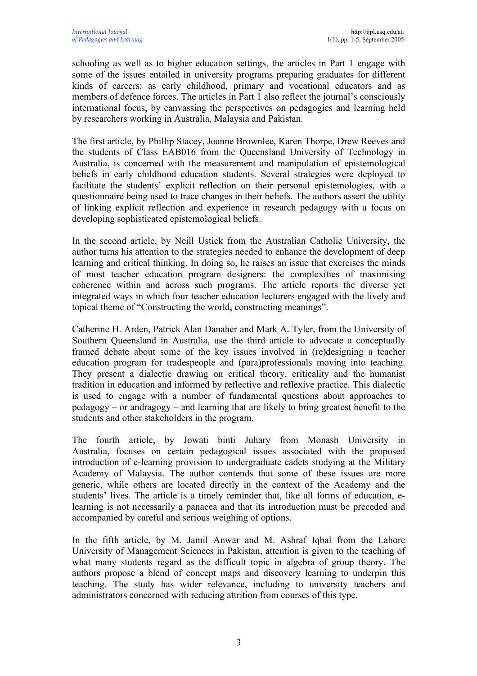schooling as well as to higher education settings, the articles in Part 1 engage with some of the issues entailed in university programs preparing graduates for different kinds of careers: as early childhood, primary and vocational educators and as members of defence forces. The articles in Part 1 also reflect the journal's consciously international focus, by canvassing the perspectives on pedagogies and learning held by researchers working in Australia, Malaysia and Pakistan.

The first article, by Phillip Stacey, Joanne Brownlee, Karen Thorpe, Drew Reeves and the students of Class EAB016 from the Queensland University of Technology in Australia, is concerned with the measurement and manipulation of epistemological beliefs in early childhood education students. Several strategies were deployed to facilitate the students' explicit reflection on their personal epistemologies, with a questionnaire being used to trace changes in their beliefs. The authors assert the utility of linking explicit reflection and experience in research pedagogy with a focus on developing sophisticated epistemological beliefs.

In the second article, by Neill Ustick from the Australian Catholic University, the author turns his attention to the strategies needed to enhance the development of deep learning and critical thinking. In doing so, he raises an issue that exercises the minds of most teacher education program designers: the complexities of maximising coherence within and across such programs. The article reports the diverse yet integrated ways in which four teacher education lecturers engaged with the lively and topical theme of "Constructing the world, constructing meanings".

Catherine H. Arden, Patrick Alan Danaher and Mark A. Tyler, from the University of Southern Queensland in Australia, use the third article to advocate a conceptually framed debate about some of the key issues involved in (re)designing a teacher education program for tradespeople and (para)professionals moving into teaching. They present a dialectic drawing on critical theory, criticality and the humanist tradition in education and informed by reflective and reflexive practice. This dialectic is used to engage with a number of fundamental questions about approaches to pedagogy – or andragogy – and learning that are likely to bring greatest benefit to the students and other stakeholders in the program.

The fourth article, by Jowati binti Juhary from Monash University in Australia, focuses on certain pedagogical issues associated with the proposed introduction of e-learning provision to undergraduate cadets studying at the Military Academy of Malaysia. The author contends that some of these issues are more generic, while others are located directly in the context of the Academy and the students' lives. The article is a timely reminder that, like all forms of education, elearning is not necessarily a panacea and that its introduction must be preceded and accompanied by careful and serious weighing of options.

In the fifth article, by M. Jamil Anwar and M. Ashraf Iqbal from the Lahore University of Management Sciences in Pakistan, attention is given to the teaching of what many students regard as the difficult topic in algebra of group theory. The authors propose a blend of concept maps and discovery learning to underpin this teaching. The study has wider relevance, including to university teachers and administrators concerned with reducing attrition from courses of this type.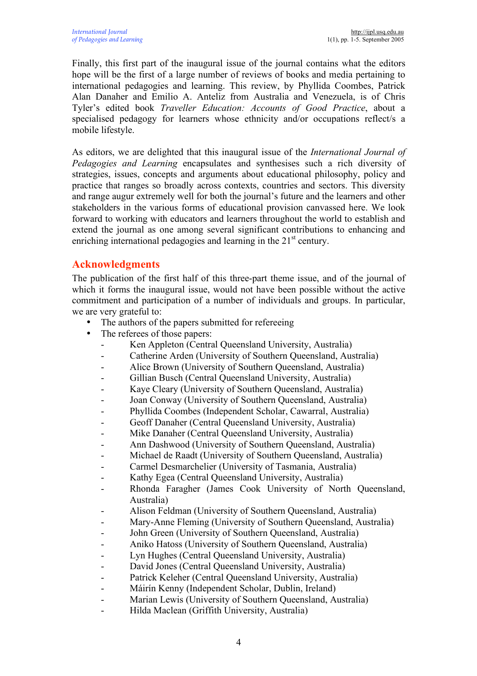Finally, this first part of the inaugural issue of the journal contains what the editors hope will be the first of a large number of reviews of books and media pertaining to international pedagogies and learning. This review, by Phyllida Coombes, Patrick Alan Danaher and Emilio A. Anteliz from Australia and Venezuela, is of Chris Tyler's edited book *Traveller Education: Accounts of Good Practice*, about a specialised pedagogy for learners whose ethnicity and/or occupations reflect/s a mobile lifestyle.

As editors, we are delighted that this inaugural issue of the *International Journal of Pedagogies and Learning* encapsulates and synthesises such a rich diversity of strategies, issues, concepts and arguments about educational philosophy, policy and practice that ranges so broadly across contexts, countries and sectors. This diversity and range augur extremely well for both the journal's future and the learners and other stakeholders in the various forms of educational provision canvassed here. We look forward to working with educators and learners throughout the world to establish and extend the journal as one among several significant contributions to enhancing and enriching international pedagogies and learning in the  $21<sup>st</sup>$  century.

## **Acknowledgments**

The publication of the first half of this three-part theme issue, and of the journal of which it forms the inaugural issue, would not have been possible without the active commitment and participation of a number of individuals and groups. In particular, we are very grateful to:

- The authors of the papers submitted for refereeing
	- The referees of those papers:
		- Ken Appleton (Central Queensland University, Australia)
		- Catherine Arden (University of Southern Queensland, Australia)
		- Alice Brown (University of Southern Queensland, Australia)
		- Gillian Busch (Central Queensland University, Australia)
		- Kaye Cleary (University of Southern Queensland, Australia)
		- Joan Conway (University of Southern Queensland, Australia)
		- Phyllida Coombes (Independent Scholar, Cawarral, Australia)
		- Geoff Danaher (Central Queensland University, Australia)
		- Mike Danaher (Central Queensland University, Australia)
		- Ann Dashwood (University of Southern Queensland, Australia)
		- Michael de Raadt (University of Southern Queensland, Australia)
		- Carmel Desmarchelier (University of Tasmania, Australia)
		- Kathy Egea (Central Queensland University, Australia)
		- Rhonda Faragher (James Cook University of North Queensland, Australia)
		- Alison Feldman (University of Southern Queensland, Australia)
		- Mary-Anne Fleming (University of Southern Queensland, Australia)
		- John Green (University of Southern Queensland, Australia)
		- Aniko Hatoss (University of Southern Queensland, Australia)
		- Lyn Hughes (Central Queensland University, Australia)
		- David Jones (Central Queensland University, Australia)
		- Patrick Keleher (Central Queensland University, Australia)
		- Máirín Kenny (Independent Scholar, Dublin, Ireland)
		- Marian Lewis (University of Southern Queensland, Australia)
		- Hilda Maclean (Griffith University, Australia)